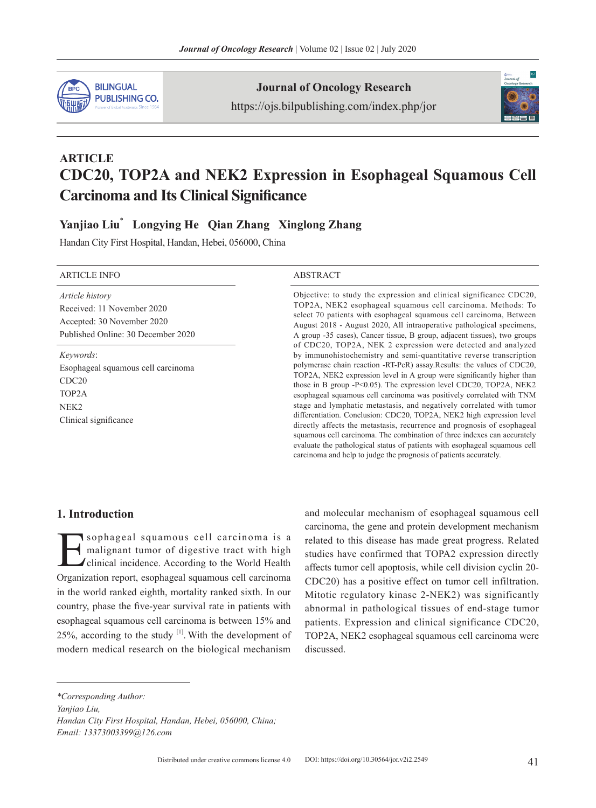

**Journal of Oncology Research**

https://ojs.bilpublishing.com/index.php/jor



# **ARTICLE CDC20, TOP2A and NEK2 Expression in Esophageal Squamous Cell Carcinoma and Its Clinical Significance**

## **Yanjiao Liu**\*  **Longying He Qian Zhang Xinglong Zhang**

Handan City First Hospital, Handan, Hebei, 056000, China

#### ARTICLE INFO ABSTRACT *Article history* Received: 11 November 2020 Accepted: 30 November 2020 Published Online: 30 December 2020 Objective: to study the expression and clinical significance CDC20, TOP2A, NEK2 esophageal squamous cell carcinoma. Methods: To select 70 patients with esophageal squamous cell carcinoma, Between August 2018 - August 2020, All intraoperative pathological specimens, A group -35 cases), Cancer tissue, B group, adjacent tissues), two groups of CDC20, TOP2A, NEK 2 expression were detected and analyzed by immunohistochemistry and semi-quantitative reverse transcription polymerase chain reaction -RT-PcR) assay.Results: the values of CDC20, TOP2A, NEK2 expression level in A group were significantly higher than those in B group -P<0.05). The expression level CDC20, TOP2A, NEK2 esophageal squamous cell carcinoma was positively correlated with TNM stage and lymphatic metastasis, and negatively correlated with tumor differentiation. Conclusion: CDC20, TOP2A, NEK2 high expression level directly affects the metastasis, recurrence and prognosis of esophageal squamous cell carcinoma. The combination of three indexes can accurately evaluate the pathological status of patients with esophageal squamous cell carcinoma and help to judge the prognosis of patients accurately. *Keywords*: Esophageal squamous cell carcinoma CDC20 TOP2A NEK2 Clinical significance

### **1. Introduction**

Sophageal squamous cell carcinoma is a<br>malignant tumor of digestive tract with high<br>clinical incidence. According to the World Health<br>Organization report esophageal squamous cell carginoma malignant tumor of digestive tract with high clinical incidence. According to the World Health Organization report, esophageal squamous cell carcinoma in the world ranked eighth, mortality ranked sixth. In our country, phase the five-year survival rate in patients with esophageal squamous cell carcinoma is between 15% and 25%, according to the study  $[1]$ . With the development of modern medical research on the biological mechanism

and molecular mechanism of esophageal squamous cell carcinoma, the gene and protein development mechanism related to this disease has made great progress. Related studies have confirmed that TOPA2 expression directly affects tumor cell apoptosis, while cell division cyclin 20- CDC20) has a positive effect on tumor cell infiltration. Mitotic regulatory kinase 2-NEK2) was significantly abnormal in pathological tissues of end-stage tumor patients. Expression and clinical significance CDC20, TOP2A, NEK2 esophageal squamous cell carcinoma were discussed.

*\*Corresponding Author:*

*Yanjiao Liu,* 

*Handan City First Hospital, Handan, Hebei, 056000, China; Email: 13373003399@126.com*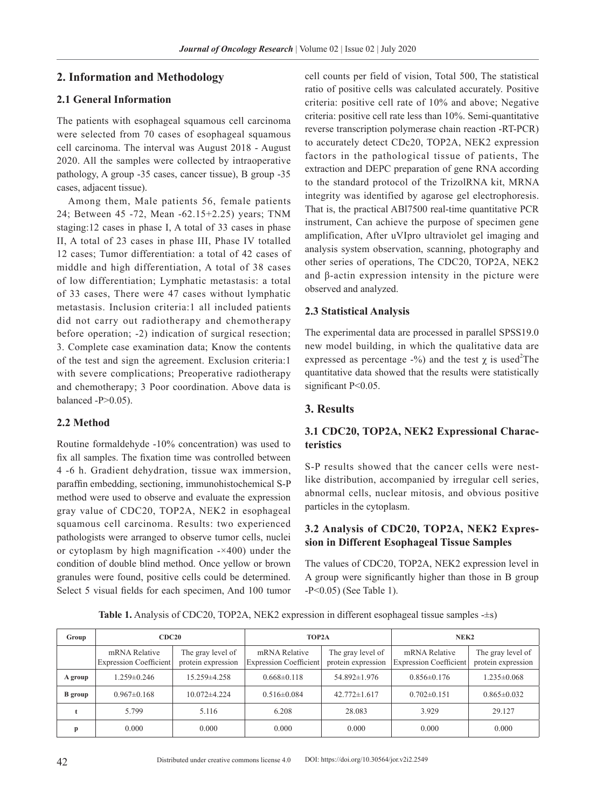#### **2. Information and Methodology**

#### **2.1 General Information**

The patients with esophageal squamous cell carcinoma were selected from 70 cases of esophageal squamous cell carcinoma. The interval was August 2018 - August 2020. All the samples were collected by intraoperative pathology, A group -35 cases, cancer tissue), B group -35 cases, adjacent tissue).

Among them, Male patients 56, female patients 24; Between 45 -72, Mean -62.15+2.25) years; TNM staging:12 cases in phase I, A total of 33 cases in phase II, A total of 23 cases in phase III, Phase IV totalled 12 cases; Tumor differentiation: a total of 42 cases of middle and high differentiation, A total of 38 cases of low differentiation; Lymphatic metastasis: a total of 33 cases, There were 47 cases without lymphatic metastasis. Inclusion criteria:1 all included patients did not carry out radiotherapy and chemotherapy before operation; -2) indication of surgical resection; 3. Complete case examination data; Know the contents of the test and sign the agreement. Exclusion criteria:1 with severe complications; Preoperative radiotherapy and chemotherapy; 3 Poor coordination. Above data is balanced  $-P>0.05$ ).

#### **2.2 Method**

Routine formaldehyde -10% concentration) was used to fix all samples. The fixation time was controlled between 4 -6 h. Gradient dehydration, tissue wax immersion, paraffin embedding, sectioning, immunohistochemical S-P method were used to observe and evaluate the expression gray value of CDC20, TOP2A, NEK2 in esophageal squamous cell carcinoma. Results: two experienced pathologists were arranged to observe tumor cells, nuclei or cytoplasm by high magnification -×400) under the condition of double blind method. Once yellow or brown granules were found, positive cells could be determined. Select 5 visual fields for each specimen, And 100 tumor cell counts per field of vision, Total 500, The statistical ratio of positive cells was calculated accurately. Positive criteria: positive cell rate of 10% and above; Negative criteria: positive cell rate less than 10%. Semi-quantitative reverse transcription polymerase chain reaction -RT-PCR) to accurately detect CDc20, TOP2A, NEK2 expression factors in the pathological tissue of patients, The extraction and DEPC preparation of gene RNA according to the standard protocol of the TrizolRNA kit, MRNA integrity was identified by agarose gel electrophoresis. That is, the practical ABl7500 real-time quantitative PCR instrument, Can achieve the purpose of specimen gene amplification, After uVIpro ultraviolet gel imaging and analysis system observation, scanning, photography and other series of operations, The CDC20, TOP2A, NEK2 and β-actin expression intensity in the picture were observed and analyzed.

#### **2.3 Statistical Analysis**

The experimental data are processed in parallel SPSS19.0 new model building, in which the qualitative data are expressed as percentage -%) and the test  $\chi$  is used<sup>2</sup>The quantitative data showed that the results were statistically significant P<0.05.

#### **3. Results**

#### **3.1 CDC20, TOP2A, NEK2 Expressional Characteristics**

S-P results showed that the cancer cells were nestlike distribution, accompanied by irregular cell series, abnormal cells, nuclear mitosis, and obvious positive particles in the cytoplasm.

#### **3.2 Analysis of CDC20, TOP2A, NEK2 Expression in Different Esophageal Tissue Samples**

The values of CDC20, TOP2A, NEK2 expression level in A group were significantly higher than those in B group -P<0.05) (See Table 1).

**Table 1.** Analysis of CDC20, TOP2A, NEK2 expression in different esophageal tissue samples -±s)

| Group          | CDC20                                   |                                         | TOP <sub>2</sub> A                             |                                         | NEK <sub>2</sub>                               |                                         |  |
|----------------|-----------------------------------------|-----------------------------------------|------------------------------------------------|-----------------------------------------|------------------------------------------------|-----------------------------------------|--|
|                | mRNA Relative<br>Expression Coefficient | The gray level of<br>protein expression | mRNA Relative<br><b>Expression Coefficient</b> | The gray level of<br>protein expression | mRNA Relative<br><b>Expression Coefficient</b> | The gray level of<br>protein expression |  |
| A group        | $1.259 \pm 0.246$                       | $15.259 \pm 4.258$                      | $0.668 \pm 0.118$                              | 54.892±1.976                            | $0.856 \pm 0.176$                              | 1.235±0.068                             |  |
| <b>B</b> group | $0.967 \pm 0.168$                       | $10.072\pm4.224$                        | $0.516 \pm 0.084$                              | $42.772 \pm 1.617$                      | $0.702\pm0.151$                                | $0.865 \pm 0.032$                       |  |
|                | 5.799                                   | 5.116                                   | 6.208                                          | 28.083                                  | 3.929                                          | 29.127                                  |  |
|                | 0.000                                   | 0.000                                   | 0.000                                          | 0.000                                   | 0.000                                          | 0.000                                   |  |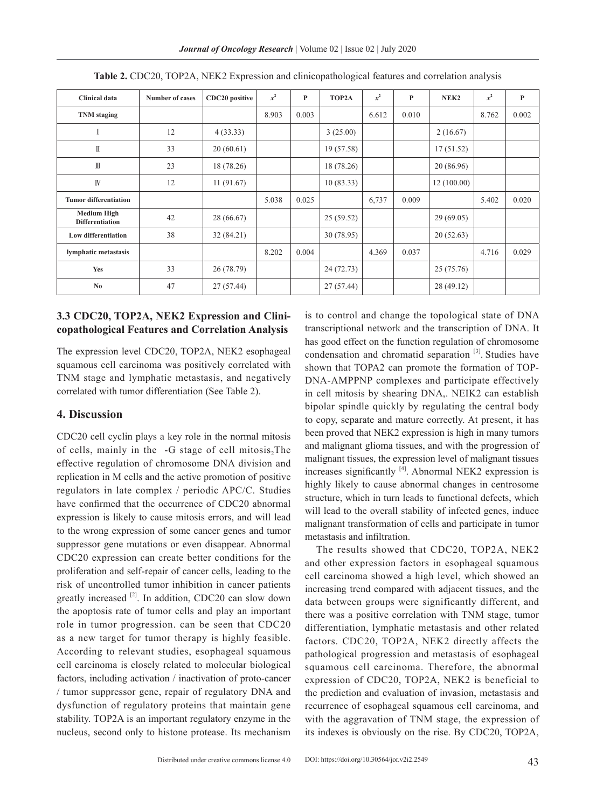*Journal of Oncology Research* | Volume 02 | Issue 02 | July 2020

| <b>Clinical data</b>                         | <b>Number of cases</b> | CDC20 positive | $x^2$ | P     | TOP2A      | $x^2$ | P     | NEK <sub>2</sub> | $x^2$ | $\mathbf{P}$ |
|----------------------------------------------|------------------------|----------------|-------|-------|------------|-------|-------|------------------|-------|--------------|
| <b>TNM</b> staging                           |                        |                | 8.903 | 0.003 |            | 6.612 | 0.010 |                  | 8.762 | 0.002        |
|                                              | 12                     | 4(33.33)       |       |       | 3(25.00)   |       |       | 2(16.67)         |       |              |
| $\mathbb I$                                  | 33                     | 20(60.61)      |       |       | 19 (57.58) |       |       | 17(51.52)        |       |              |
| $\mathbb{I}$                                 | 23                     | 18 (78.26)     |       |       | 18 (78.26) |       |       | 20(86.96)        |       |              |
| IV                                           | 12                     | 11(91.67)      |       |       | 10(83.33)  |       |       | 12(100.00)       |       |              |
| <b>Tumor differentiation</b>                 |                        |                | 5.038 | 0.025 |            | 6,737 | 0.009 |                  | 5.402 | 0.020        |
| <b>Medium High</b><br><b>Differentiation</b> | 42                     | 28 (66.67)     |       |       | 25(59.52)  |       |       | 29(69.05)        |       |              |
| <b>Low differentiation</b>                   | 38                     | 32(84.21)      |       |       | 30(78.95)  |       |       | 20(52.63)        |       |              |
| lymphatic metastasis                         |                        |                | 8.202 | 0.004 |            | 4.369 | 0.037 |                  | 4.716 | 0.029        |
| Yes                                          | 33                     | 26(78.79)      |       |       | 24(72.73)  |       |       | 25(75.76)        |       |              |
| No.                                          | 47                     | 27(57.44)      |       |       | 27(57.44)  |       |       | 28 (49.12)       |       |              |

|  |  |  |  | Table 2. CDC20, TOP2A, NEK2 Expression and clinicopathological features and correlation analysis |  |  |
|--|--|--|--|--------------------------------------------------------------------------------------------------|--|--|
|--|--|--|--|--------------------------------------------------------------------------------------------------|--|--|

### **3.3 CDC20, TOP2A, NEK2 Expression and Clinicopathological Features and Correlation Analysis**

The expression level CDC20, TOP2A, NEK2 esophageal squamous cell carcinoma was positively correlated with TNM stage and lymphatic metastasis, and negatively correlated with tumor differentiation (See Table 2).

#### **4. Discussion**

CDC20 cell cyclin plays a key role in the normal mitosis of cells, mainly in the  $-G$  stage of cell mitosis, The effective regulation of chromosome DNA division and replication in M cells and the active promotion of positive regulators in late complex / periodic APC/C. Studies have confirmed that the occurrence of CDC20 abnormal expression is likely to cause mitosis errors, and will lead to the wrong expression of some cancer genes and tumor suppressor gene mutations or even disappear. Abnormal CDC20 expression can create better conditions for the proliferation and self-repair of cancer cells, leading to the risk of uncontrolled tumor inhibition in cancer patients greatly increased [2]. In addition, CDC20 can slow down the apoptosis rate of tumor cells and play an important role in tumor progression. can be seen that CDC20 as a new target for tumor therapy is highly feasible. According to relevant studies, esophageal squamous cell carcinoma is closely related to molecular biological factors, including activation / inactivation of proto-cancer / tumor suppressor gene, repair of regulatory DNA and dysfunction of regulatory proteins that maintain gene stability. TOP2A is an important regulatory enzyme in the nucleus, second only to histone protease. Its mechanism is to control and change the topological state of DNA transcriptional network and the transcription of DNA. It has good effect on the function regulation of chromosome condensation and chromatid separation [3]. Studies have shown that TOPA2 can promote the formation of TOP-DNA-AMPPNP complexes and participate effectively in cell mitosis by shearing DNA,. NEIK2 can establish bipolar spindle quickly by regulating the central body to copy, separate and mature correctly. At present, it has been proved that NEK2 expression is high in many tumors and malignant glioma tissues, and with the progression of malignant tissues, the expression level of malignant tissues increases significantly  $[4]$ . Abnormal NEK2 expression is highly likely to cause abnormal changes in centrosome structure, which in turn leads to functional defects, which will lead to the overall stability of infected genes, induce malignant transformation of cells and participate in tumor metastasis and infiltration.

The results showed that CDC20, TOP2A, NEK2 and other expression factors in esophageal squamous cell carcinoma showed a high level, which showed an increasing trend compared with adjacent tissues, and the data between groups were significantly different, and there was a positive correlation with TNM stage, tumor differentiation, lymphatic metastasis and other related factors. CDC20, TOP2A, NEK2 directly affects the pathological progression and metastasis of esophageal squamous cell carcinoma. Therefore, the abnormal expression of CDC20, TOP2A, NEK2 is beneficial to the prediction and evaluation of invasion, metastasis and recurrence of esophageal squamous cell carcinoma, and with the aggravation of TNM stage, the expression of its indexes is obviously on the rise. By CDC20, TOP2A,